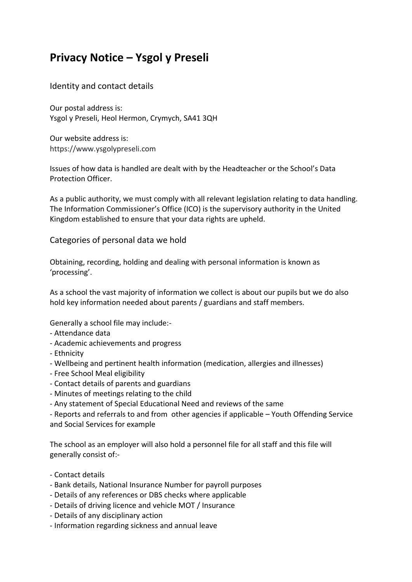# **Privacy Notice – Ysgol y Preseli**

Identity and contact details

Our postal address is: Ysgol y Preseli, Heol Hermon, Crymych, SA41 3QH

Our website address is: https://www.ysgolypreseli.com

Issues of how data is handled are dealt with by the Headteacher or the School's Data Protection Officer.

As a public authority, we must comply with all relevant legislation relating to data handling. The Information Commissioner's Office (ICO) is the supervisory authority in the United Kingdom established to ensure that your data rights are upheld.

Categories of personal data we hold

Obtaining, recording, holding and dealing with personal information is known as 'processing'.

As a school the vast majority of information we collect is about our pupils but we do also hold key information needed about parents / guardians and staff members.

Generally a school file may include:-

- Attendance data
- Academic achievements and progress
- Ethnicity
- Wellbeing and pertinent health information (medication, allergies and illnesses)
- Free School Meal eligibility
- Contact details of parents and guardians
- Minutes of meetings relating to the child
- Any statement of Special Educational Need and reviews of the same

- Reports and referrals to and from other agencies if applicable – Youth Offending Service and Social Services for example

The school as an employer will also hold a personnel file for all staff and this file will generally consist of:-

- Contact details
- Bank details, National Insurance Number for payroll purposes
- Details of any references or DBS checks where applicable
- Details of driving licence and vehicle MOT / Insurance
- Details of any disciplinary action
- Information regarding sickness and annual leave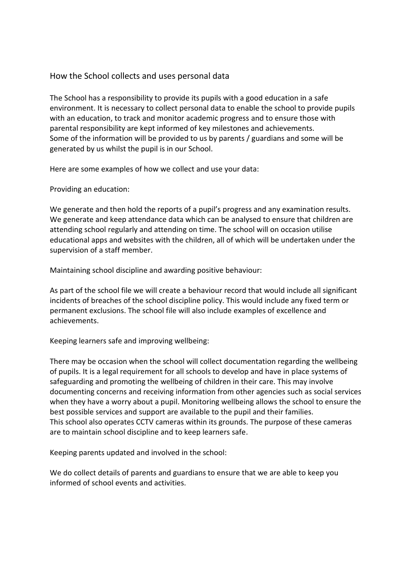## How the School collects and uses personal data

The School has a responsibility to provide its pupils with a good education in a safe environment. It is necessary to collect personal data to enable the school to provide pupils with an education, to track and monitor academic progress and to ensure those with parental responsibility are kept informed of key milestones and achievements. Some of the information will be provided to us by parents / guardians and some will be generated by us whilst the pupil is in our School.

Here are some examples of how we collect and use your data:

Providing an education:

We generate and then hold the reports of a pupil's progress and any examination results. We generate and keep attendance data which can be analysed to ensure that children are attending school regularly and attending on time. The school will on occasion utilise educational apps and websites with the children, all of which will be undertaken under the supervision of a staff member.

Maintaining school discipline and awarding positive behaviour:

As part of the school file we will create a behaviour record that would include all significant incidents of breaches of the school discipline policy. This would include any fixed term or permanent exclusions. The school file will also include examples of excellence and achievements.

Keeping learners safe and improving wellbeing:

There may be occasion when the school will collect documentation regarding the wellbeing of pupils. It is a legal requirement for all schools to develop and have in place systems of safeguarding and promoting the wellbeing of children in their care. This may involve documenting concerns and receiving information from other agencies such as social services when they have a worry about a pupil. Monitoring wellbeing allows the school to ensure the best possible services and support are available to the pupil and their families. This school also operates CCTV cameras within its grounds. The purpose of these cameras are to maintain school discipline and to keep learners safe.

Keeping parents updated and involved in the school:

We do collect details of parents and guardians to ensure that we are able to keep you informed of school events and activities.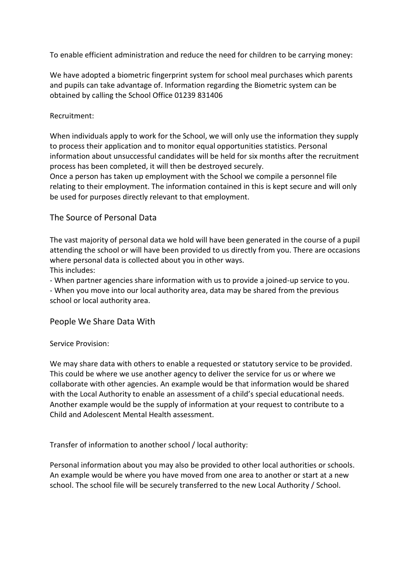To enable efficient administration and reduce the need for children to be carrying money:

We have adopted a biometric fingerprint system for school meal purchases which parents and pupils can take advantage of. Information regarding the Biometric system can be obtained by calling the School Office 01239 831406

### Recruitment:

When individuals apply to work for the School, we will only use the information they supply to process their application and to monitor equal opportunities statistics. Personal information about unsuccessful candidates will be held for six months after the recruitment process has been completed, it will then be destroyed securely.

Once a person has taken up employment with the School we compile a personnel file relating to their employment. The information contained in this is kept secure and will only be used for purposes directly relevant to that employment.

## The Source of Personal Data

The vast majority of personal data we hold will have been generated in the course of a pupil attending the school or will have been provided to us directly from you. There are occasions where personal data is collected about you in other ways.

This includes:

- When partner agencies share information with us to provide a joined-up service to you.

- When you move into our local authority area, data may be shared from the previous school or local authority area.

## People We Share Data With

#### Service Provision:

We may share data with others to enable a requested or statutory service to be provided. This could be where we use another agency to deliver the service for us or where we collaborate with other agencies. An example would be that information would be shared with the Local Authority to enable an assessment of a child's special educational needs. Another example would be the supply of information at your request to contribute to a Child and Adolescent Mental Health assessment.

Transfer of information to another school / local authority:

Personal information about you may also be provided to other local authorities or schools. An example would be where you have moved from one area to another or start at a new school. The school file will be securely transferred to the new Local Authority / School.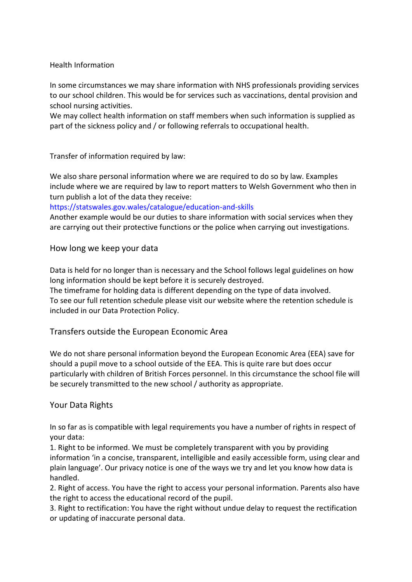#### Health Information

In some circumstances we may share information with NHS professionals providing services to our school children. This would be for services such as vaccinations, dental provision and school nursing activities.

We may collect health information on staff members when such information is supplied as part of the sickness policy and / or following referrals to occupational health.

Transfer of information required by law:

We also share personal information where we are required to do so by law. Examples include where we are required by law to report matters to Welsh Government who then in turn publish a lot of the data they receive:

#### https://statswales.gov.wales/catalogue/education-and-skills

Another example would be our duties to share information with social services when they are carrying out their protective functions or the police when carrying out investigations.

## How long we keep your data

Data is held for no longer than is necessary and the School follows legal guidelines on how long information should be kept before it is securely destroyed.

The timeframe for holding data is different depending on the type of data involved. To see our full retention schedule please visit our website where the retention schedule is included in our Data Protection Policy.

## Transfers outside the European Economic Area

We do not share personal information beyond the European Economic Area (EEA) save for should a pupil move to a school outside of the EEA. This is quite rare but does occur particularly with children of British Forces personnel. In this circumstance the school file will be securely transmitted to the new school / authority as appropriate.

## Your Data Rights

In so far as is compatible with legal requirements you have a number of rights in respect of your data:

1. Right to be informed. We must be completely transparent with you by providing information 'in a concise, transparent, intelligible and easily accessible form, using clear and plain language'. Our privacy notice is one of the ways we try and let you know how data is handled.

2. Right of access. You have the right to access your personal information. Parents also have the right to access the educational record of the pupil.

3. Right to rectification: You have the right without undue delay to request the rectification or updating of inaccurate personal data.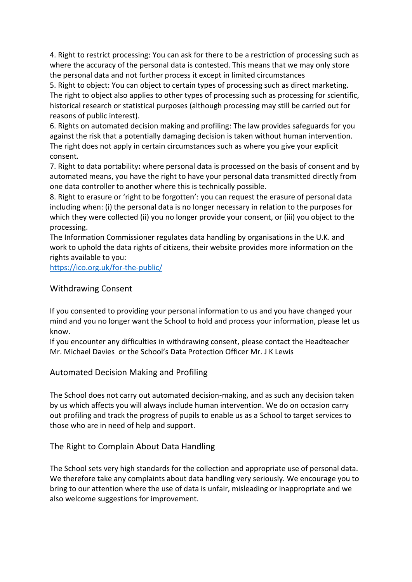4. Right to restrict processing: You can ask for there to be a restriction of processing such as where the accuracy of the personal data is contested. This means that we may only store the personal data and not further process it except in limited circumstances

5. Right to object: You can object to certain types of processing such as direct marketing. The right to object also applies to other types of processing such as processing for scientific, historical research or statistical purposes (although processing may still be carried out for reasons of public interest).

6. Rights on automated decision making and profiling: The law provides safeguards for you against the risk that a potentially damaging decision is taken without human intervention. The right does not apply in certain circumstances such as where you give your explicit consent.

7. Right to data portability**:** where personal data is processed on the basis of consent and by automated means, you have the right to have your personal data transmitted directly from one data controller to another where this is technically possible.

8. Right to erasure or 'right to be forgotten': you can request the erasure of personal data including when: (i) the personal data is no longer necessary in relation to the purposes for which they were collected (ii) you no longer provide your consent, or (iii) you object to the processing.

The Information Commissioner regulates data handling by organisations in the U.K. and work to uphold the data rights of citizens, their website provides more information on the rights available to you:

<https://ico.org.uk/for-the-public/>

#### Withdrawing Consent

If you consented to providing your personal information to us and you have changed your mind and you no longer want the School to hold and process your information, please let us know.

If you encounter any difficulties in withdrawing consent, please contact the Headteacher Mr. Michael Davies or the School's Data Protection Officer Mr. J K Lewis

## Automated Decision Making and Profiling

The School does not carry out automated decision-making, and as such any decision taken by us which affects you will always include human intervention. We do on occasion carry out profiling and track the progress of pupils to enable us as a School to target services to those who are in need of help and support.

## The Right to Complain About Data Handling

The School sets very high standards for the collection and appropriate use of personal data. We therefore take any complaints about data handling very seriously. We encourage you to bring to our attention where the use of data is unfair, misleading or inappropriate and we also welcome suggestions for improvement.